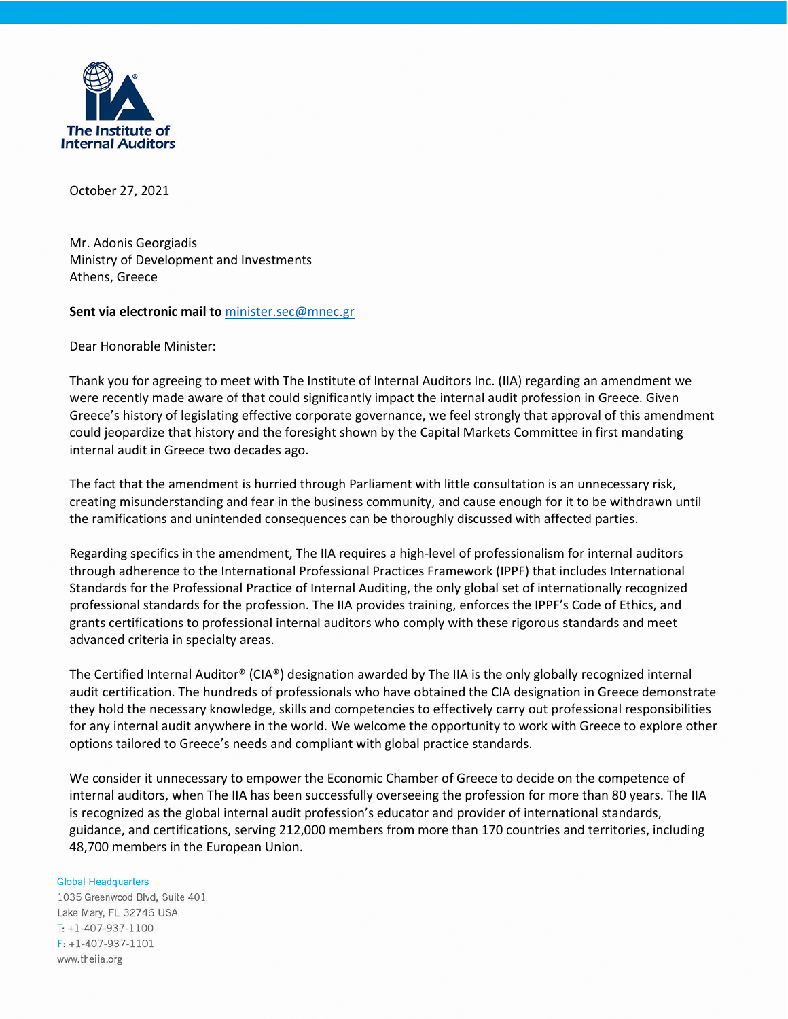

October 27, 2021

Mr. Adonis Georgiadis Ministry of Development and Investments Athens, Greece

## **Sent via electronic mail to** [minister.sec@mnec.gr](mailto:minister.sec@mnec.gr)

Dear Honorable Minister:

Thank you for agreeing to meet with The Institute of Internal Auditors Inc. (IIA) regarding an amendment we were recently made aware of that could significantly impact the internal audit profession in Greece. Given Greece's history of legislating effective corporate governance, we feel strongly that approval of this amendment could jeopardize that history and the foresight shown by the Capital Markets Committee in first mandating internal audit in Greece two decades ago.

The fact that the amendment is hurried through Parliament with little consultation is an unnecessary risk, creating misunderstanding and fear in the business community, and cause enough for it to be withdrawn until the ramifications and unintended consequences can be thoroughly discussed with affected parties.

Regarding specifics in the amendment, The IIA requires a high-level of professionalism for internal auditors through adherence to the International Professional Practices Framework (IPPF) that includes International Standards for the Professional Practice of Internal Auditing, the only global set of internationally recognized professional standards for the profession. The IIA provides training, enforces the IPPF's Code of Ethics, and grants certifications to professional internal auditors who comply with these rigorous standards and meet advanced criteria in specialty areas.

The Certified Internal Auditor® (CIA®) designation awarded by The IIA is the only globally recognized internal audit certification. The hundreds of professionals who have obtained the CIA designation in Greece demonstrate they hold the necessary knowledge, skills and competencies to effectively carry out professional responsibilities for any internal audit anywhere in the world. We welcome the opportunity to work with Greece to explore other options tailored to Greece's needs and compliant with global practice standards.

We consider it unnecessary to empower the Economic Chamber of Greece to decide on the competence of internal auditors, when The IIA has been successfully overseeing the profession for more than 80 years. The IIA is recognized as the global internal audit profession's educator and provider of international standards, guidance, and certifications, serving 212,000 members from more than 170 countries and territories, including 48,700 members in the European Union.

## **Global Headquarters**

1035 Greenwood Blvd, Suite 401 Lake Mary, FL 32746 USA  $T: +1-407-937-1100$  $F: +1-407-937-1101$ www.theiia.org